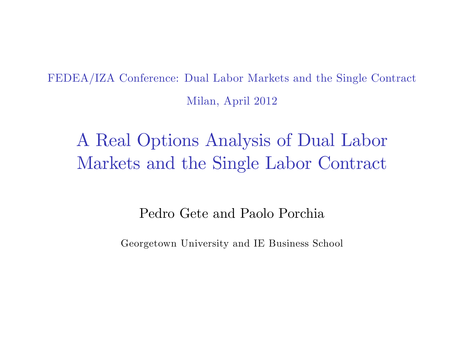FEDEA/IZA Conference: Dual Labor Markets and the Single Contract Milan, April 2012

A Real Options Analysis of Dual Labor Markets and the Single Labor Contract

Pedro Gete and Paolo Porchia

Georgetown University and IE Business School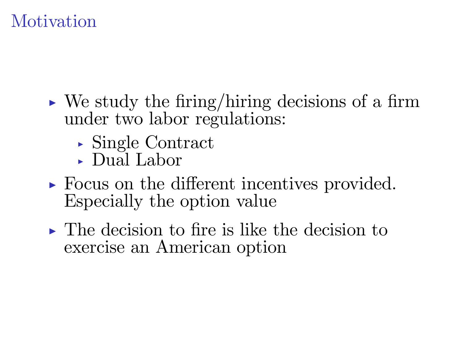# **Motivation**

- $\triangleright$  We study the firing/hiring decisions of a firm under two labor regulations:
	- $\triangleright$  Single Contract
	- $\Box$  Dual Labor
- $\triangleright$  Focus on the different incentives provided. Especially the option value
- $\triangleright$  The decision to fire is like the decision to exercise an American option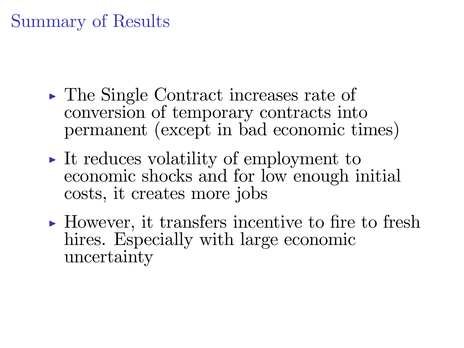### Summary of Results

- $\triangleright$  The Single Contract increases rate of conversion of temporary contracts into permanent (except in bad economic times)
- $\triangleright$  It reduces volatility of employment to economic shocks and for low enough initial costs, it creates more jobs
- $\triangleright$  However, it transfers incentive to fire to fresh hires. Especially with large economic uncertainty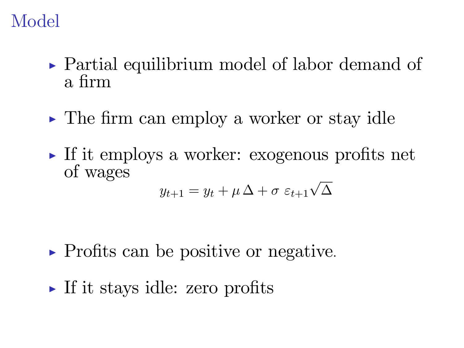### Model

- $\triangleright$  Partial equilibrium model of labor demand of a firm
- $\triangleright$  The firm can employ a worker or stay idle
- $\triangleright$  If it employs a worker: exogenous profits net of wages

$$
y_{t+1} = y_t + \mu \Delta + \sigma \varepsilon_{t+1} \sqrt{\Delta}
$$

- $\triangleright$  Profits can be positive or negative.
- $\triangleright$  If it stays idle: zero profits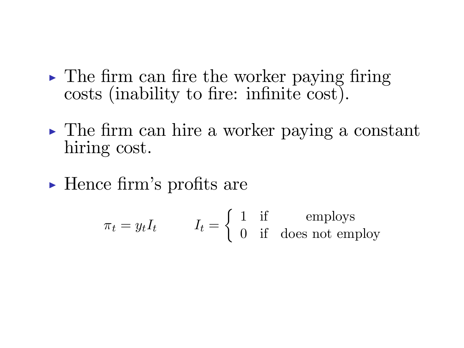- $\triangleright$  The firm can fire the worker paying firing costs (inability to fire: infinite cost).
- $\triangleright$  The firm can hire a worker paying a constant hiring cost.
- $\blacktriangleright$  Hence firm's profits are

$$
\pi_t = y_t I_t \qquad I_t = \begin{cases} 1 & \text{if } \text{emplots} \\ 0 & \text{if } \text{does not employ} \end{cases}
$$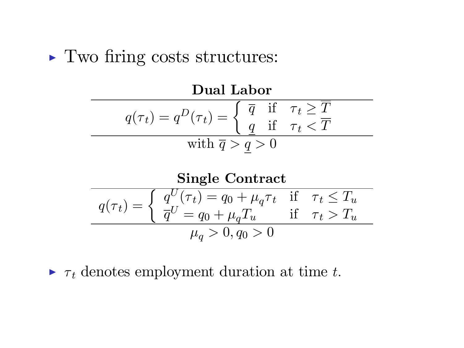#### $\blacktriangleright$  Two firing costs structures:



| Single Contract                                                                                                                                                     |
|---------------------------------------------------------------------------------------------------------------------------------------------------------------------|
| $q(\tau_t) = \begin{cases} q^U(\tau_t) = q_0 + \mu_q \tau_t & \text{if } \tau_t \leq T_u \\ \overline{q}^U = q_0 + \mu_q T_u & \text{if } \tau_t > T_u \end{cases}$ |
| $\mu_q > 0, q_0 > 0$                                                                                                                                                |

 $\triangleright$   $\tau_t$  denotes employment duration at time t.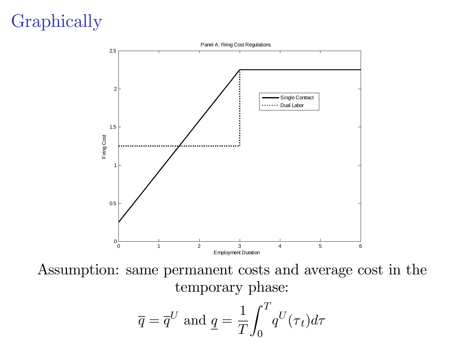# Graphically



Assumption: same permanent costs and average cost in the temporary phase:  $\tau$ 

$$
\overline{q} = \overline{q}^U
$$
 and  $\underline{q} = \frac{1}{T} \int_0^T q^U(\tau_t) d\tau$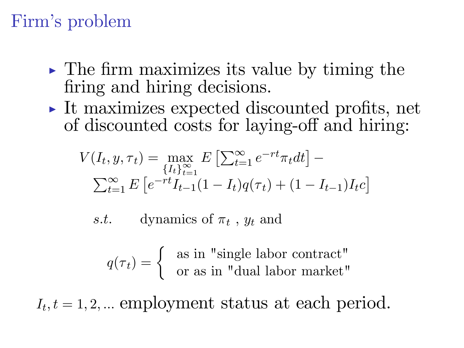### Firm's problem

- $\triangleright$  The firm maximizes its value by timing the firing and hiring decisions.
- $\triangleright$  It maximizes expected discounted profits, net of discounted costs for laying-off and hiring:

$$
V(I_t, y, \tau_t) = \max_{\{I_t\}_{t=1}^{\infty}} E\left[\sum_{t=1}^{\infty} e^{-rt} \pi_t dt\right] -
$$
  

$$
\sum_{t=1}^{\infty} E\left[e^{-rt} I_{t-1}(1 - I_t)q(\tau_t) + (1 - I_{t-1})I_t c\right]
$$

s.t. dynamics of  $\pi_t$ ,  $y_t$  and

$$
q(\tau_t) = \begin{cases} \n\text{ as in "single labor contract"} \\ \n\text{or as in "dual labor market"} \n\end{cases}
$$

 $I_t, t = 1, 2, ...$  employment status at each period.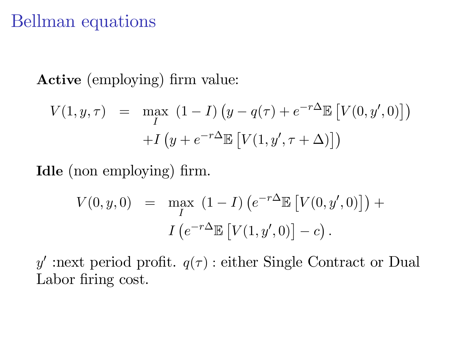#### Bellman equations

Active (employing) firm value:

$$
V(1, y, \tau) = \max_{I} (1 - I) \left( y - q(\tau) + e^{-r\Delta} \mathbb{E} \left[ V(0, y', 0) \right] \right)
$$

$$
+ I \left( y + e^{-r\Delta} \mathbb{E} \left[ V(1, y', \tau + \Delta) \right] \right)
$$

Idle (non employing) firm.

$$
V(0, y, 0) = \max_{I} (1 - I) \left( e^{-r\Delta} \mathbb{E} \left[ V(0, y', 0) \right] \right) +
$$

$$
I \left( e^{-r\Delta} \mathbb{E} \left[ V(1, y', 0) \right] - c \right).
$$

y' :next period profit.  $q(\tau)$ : either Single Contract or Dual Labor firing cost.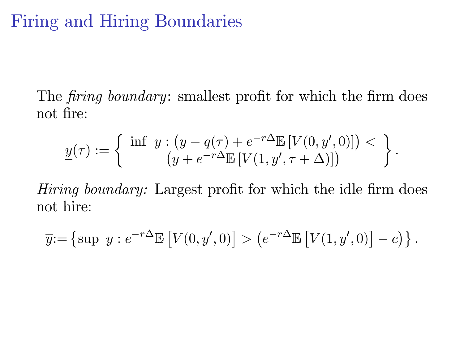#### Firing and Hiring Boundaries

The firing boundary: smallest profit for which the firm does not fire:

$$
\underline{y}(\tau) := \left\{ \begin{array}{c} \inf \ y : \left( y - q(\tau) + e^{-r\Delta} \mathbb{E} \left[ V(0, y', 0) \right] \right) < \\ \left( y + e^{-r\Delta} \mathbb{E} \left[ V(1, y', \tau + \Delta) \right] \right) \end{array} \right\}.
$$

Hiring boundary: Largest profit for which the idle firm does not hire:

$$
\overline{y} := \left\{ \sup y : e^{-r\Delta} \mathbb{E} \left[ V(0, y', 0) \right] > \left( e^{-r\Delta} \mathbb{E} \left[ V(1, y', 0) \right] - c \right) \right\}.
$$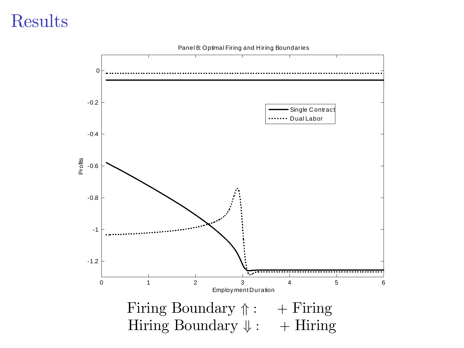#### Results

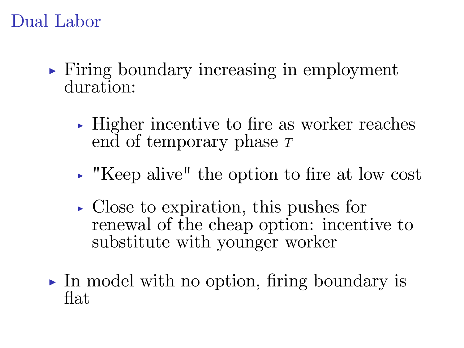#### Dual Labor

- $\triangleright$  Firing boundary increasing in employment duration:
	- $\rightarrow$  Higher incentive to fire as worker reaches end of temporary phase  $T$
	- $\cdot$  "Keep alive" the option to fire at low cost
	- $\triangleright$  Close to expiration, this pushes for renewal of the cheap option: incentive to substitute with younger worker
- In model with no option, firing boundary is flat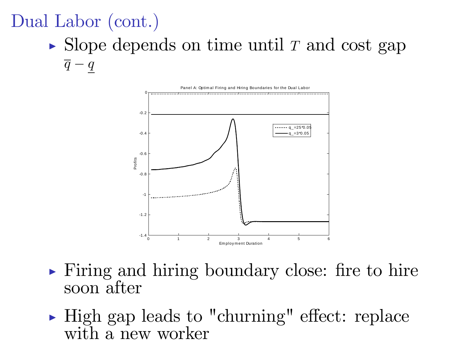# Dual Labor (cont.)

 $\triangleright$  Slope depends on time until T and cost gap  $\overline{q} - q$ 



- $\triangleright$  Firing and hiring boundary close: fire to hire soon after
- $\blacktriangleright$  High gap leads to "churning" effect: replace with a new worker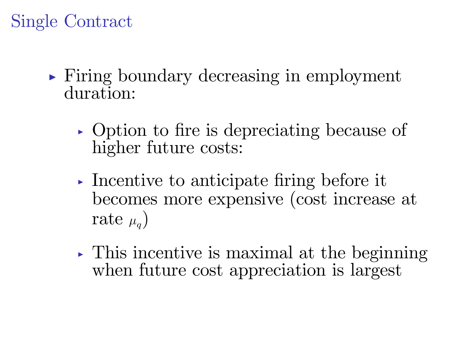# Single Contract

- $\triangleright$  Firing boundary decreasing in employment duration:
	- In Option to fire is depreciating because of higher future costs:
	- Incentive to anticipate firing before it becomes more expensive (cost increase at rate  $\mu_{\alpha}$ )
	- $\triangleright$  This incentive is maximal at the beginning when future cost appreciation is largest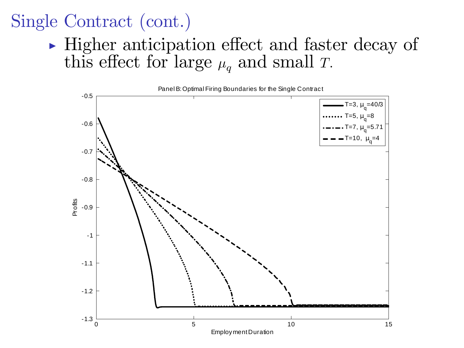# Single Contract (cont.)

 $\blacktriangleright$  Higher anticipation effect and faster decay of this effect for large  $\mu_q$  and small T.



Employ ment Duration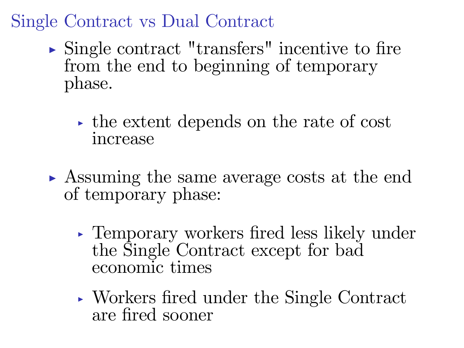Single Contract vs Dual Contract

- $\triangleright$  Single contract "transfers" incentive to fire from the end to beginning of temporary phase.
	- $\rightarrow$  the extent depends on the rate of cost increase
- **In Assuming the same average costs at the end** of temporary phase:
	- $\rightarrow$  Temporary workers fired less likely under the Single Contract except for bad economic times
	- $\rightarrow$  Workers fired under the Single Contract are Öred sooner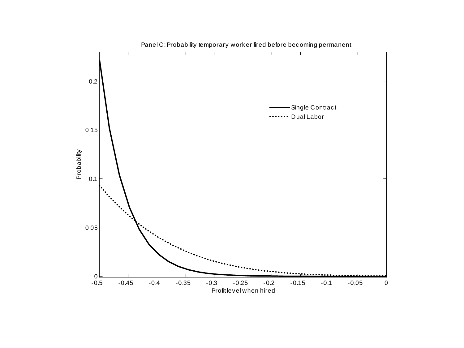

Panel C: Probability temporary worker fired before becoming permanent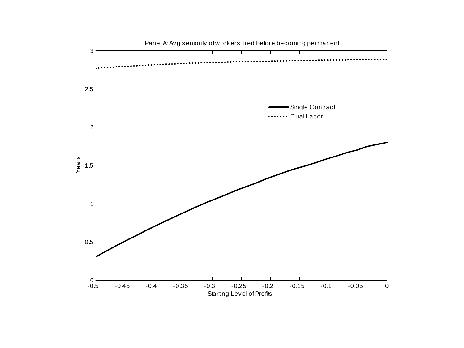

Panel A: Avg seniority of workers fired before becoming permanent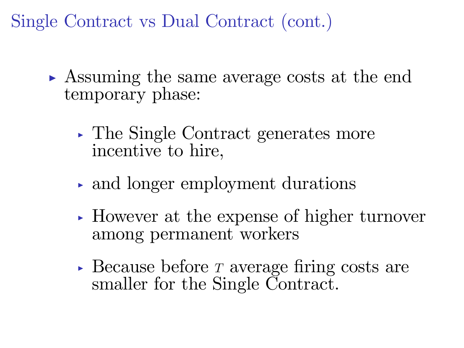Single Contract vs Dual Contract (cont.)

- Assuming the same average costs at the end temporary phase:
	- $\triangleright$  The Single Contract generates more incentive to hire,
	- $\rightarrow$  and longer employment durations
	- $\blacktriangleright$  However at the expense of higher turnover among permanent workers
	- Because before T average firing costs are smaller for the Single Contract.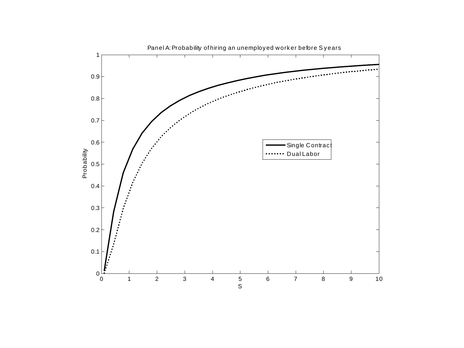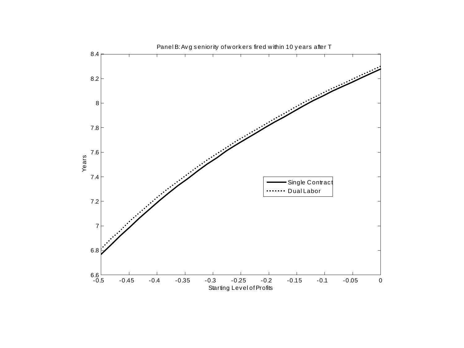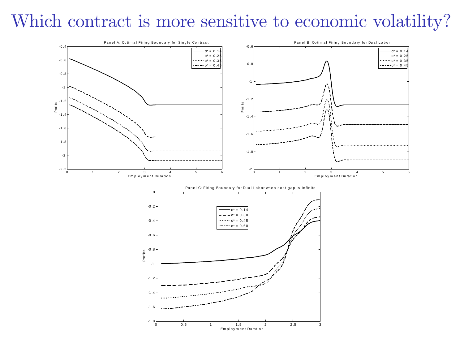# Which contract is more sensitive to economic volatility?



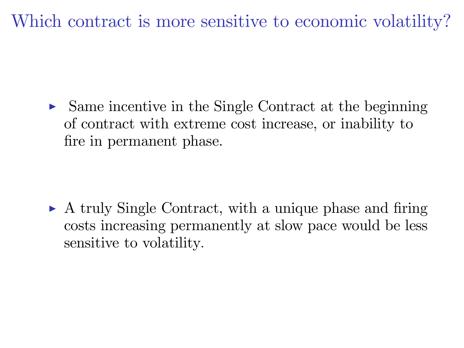Which contract is more sensitive to economic volatility?

 $\triangleright$  Same incentive in the Single Contract at the beginning of contract with extreme cost increase, or inability to fire in permanent phase.

 $\triangleright$  A truly Single Contract, with a unique phase and firing costs increasing permanently at slow pace would be less sensitive to volatility.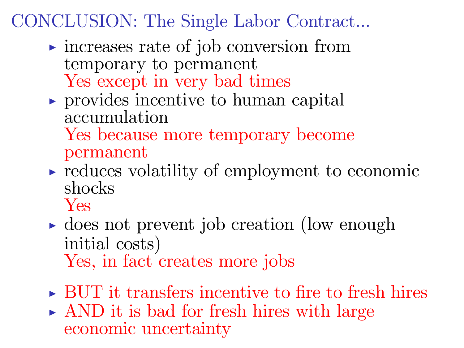# CONCLUSION: The Single Labor Contract...

- $\triangleright$  increases rate of job conversion from temporary to permanent Yes except in very bad times
- $\triangleright$  provides incentive to human capital accumulation

Yes because more temporary become permanent

- $\rightarrow$  reduces volatility of employment to economic shocks
	- Yes
- $\rightarrow$  does not prevent job creation (low enough initial costs) Yes, in fact creates more jobs
- $\triangleright$  BUT it transfers incentive to fire to fresh hires
- $\triangleright$  AND it is bad for fresh hires with large economic uncertainty